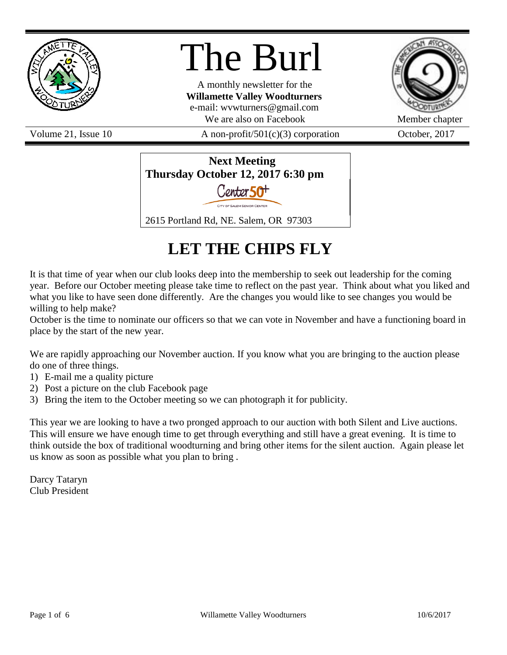

# The Burl

A monthly newsletter for the **Willamette Valley Woodturners** e-mail: wvwturners@gmail.com We are also on Facebook Member chapter



Volume 21, Issue 10  $\alpha$  A non-profit/501(c)(3) corporation  $\alpha$  October, 2017



# **LET THE CHIPS FLY**

It is that time of year when our club looks deep into the membership to seek out leadership for the coming year. Before our October meeting please take time to reflect on the past year. Think about what you liked and what you like to have seen done differently. Are the changes you would like to see changes you would be willing to help make?

October is the time to nominate our officers so that we can vote in November and have a functioning board in place by the start of the new year.

We are rapidly approaching our November auction. If you know what you are bringing to the auction please do one of three things.

- 1) E-mail me a quality picture
- 2) Post a picture on the club Facebook page
- 3) Bring the item to the October meeting so we can photograph it for publicity.

This year we are looking to have a two pronged approach to our auction with both Silent and Live auctions. This will ensure we have enough time to get through everything and still have a great evening. It is time to think outside the box of traditional woodturning and bring other items for the silent auction. Again please let us know as soon as possible what you plan to bring .

Darcy Tataryn Club President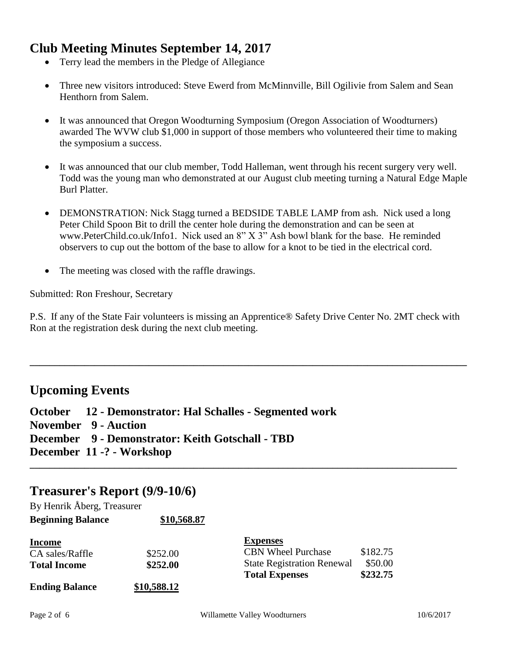# **Club Meeting Minutes September 14, 2017**

- Terry lead the members in the Pledge of Allegiance
- Three new visitors introduced: Steve Ewerd from McMinnville, Bill Ogilivie from Salem and Sean Henthorn from Salem.
- It was announced that Oregon Woodturning Symposium (Oregon Association of Woodturners) awarded The WVW club \$1,000 in support of those members who volunteered their time to making the symposium a success.
- It was announced that our club member, Todd Halleman, went through his recent surgery very well. Todd was the young man who demonstrated at our August club meeting turning a Natural Edge Maple Burl Platter.
- DEMONSTRATION: Nick Stagg turned a BEDSIDE TABLE LAMP from ash. Nick used a long Peter Child Spoon Bit to drill the center hole during the demonstration and can be seen at www.PeterChild.co.uk/Info1. Nick used an 8" X 3" Ash bowl blank for the base. He reminded observers to cup out the bottom of the base to allow for a knot to be tied in the electrical cord.
- The meeting was closed with the raffle drawings.

Submitted: Ron Freshour, Secretary

P.S. If any of the State Fair volunteers is missing an Apprentice® Safety Drive Center No. 2MT check with Ron at the registration desk during the next club meeting.

**\_\_\_\_\_\_\_\_\_\_\_\_\_\_\_\_\_\_\_\_\_\_\_\_\_\_\_\_\_\_\_\_\_\_\_\_\_\_\_\_\_\_\_\_\_\_\_\_\_\_\_\_\_\_\_\_\_\_\_\_\_\_\_\_\_\_\_\_\_\_\_\_\_\_\_\_\_\_\_\_\_\_\_\_\_\_\_\_**

**\_\_\_\_\_\_\_\_\_\_\_\_\_\_\_\_\_\_\_\_\_\_\_\_\_\_\_\_\_\_\_\_\_\_\_\_\_\_\_\_\_\_\_\_\_\_\_\_\_\_\_\_\_\_\_\_\_\_\_\_\_\_\_\_\_\_\_\_\_\_\_\_\_\_\_\_\_\_\_\_\_\_\_\_\_\_**

# **Upcoming Events**

**October 12 - Demonstrator: Hal Schalles - Segmented work November 9 - Auction December 9 - Demonstrator: Keith Gotschall - TBD December 11 -? - Workshop**

# **Treasurer's Report (9/9-10/6)**

| By Henrik Åberg, Treasurer |             |                                   |          |
|----------------------------|-------------|-----------------------------------|----------|
| <b>Beginning Balance</b>   | \$10,568.87 |                                   |          |
| <b>Income</b>              |             | <b>Expenses</b>                   |          |
| CA sales/Raffle            | \$252.00    | <b>CBN Wheel Purchase</b>         | \$182.75 |
| <b>Total Income</b>        | \$252.00    | <b>State Registration Renewal</b> | \$50.00  |
|                            |             | <b>Total Expenses</b>             | \$232.75 |
| <b>Ending Balance</b>      | \$10,588.12 |                                   |          |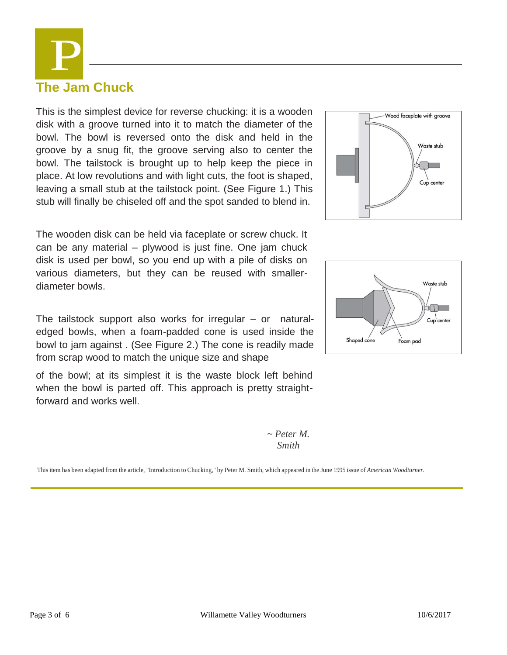**The Jam Chuck** This is the simplest device for reverse chucking: it is a wooden disk with a groove turned into it to match the diameter of the

P

bowl. The bowl is reversed onto the disk and held in the groove by a snug fit, the groove serving also to center the bowl. The tailstock is brought up to help keep the piece in place. At low revolutions and with light cuts, the foot is shaped, leaving a small stub at the tailstock point. (See Figure 1.) This stub will finally be chiseled off and the spot sanded to blend in.

The wooden disk can be held via faceplate or screw chuck. It can be any material – plywood is just fine. One jam chuck disk is used per bowl, so you end up with a pile of disks on various diameters, but they can be reused with smallerdiameter bowls.

The tailstock support also works for irregular – or naturaledged bowls, when a foam-padded cone is used inside the bowl to jam against . (See Figure 2.) The cone is readily made from scrap wood to match the unique size and shape

of the bowl; at its simplest it is the waste block left behind when the bowl is parted off. This approach is pretty straightforward and works well.

> *~ Peter M. Smith*

-Wood faceplate with groove Waste stub Cup center



This item has been adapted from the article, "Introduction to Chucking," by Peter M. Smith, which appeared in the June 1995 issue of *American Woodturner.*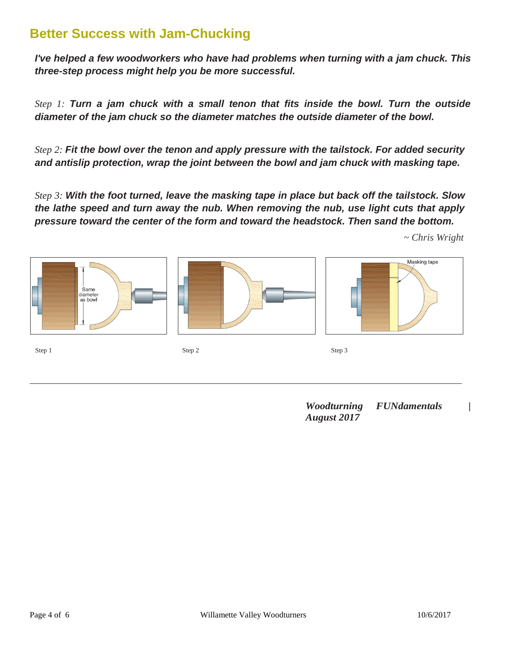# **Better Success with Jam-Chucking**

*I've helped a few woodworkers who have had problems when turning with a jam chuck. This three-step process might help you be more successful.*

*Step 1: Turn a jam chuck with a small tenon that fits inside the bowl. Turn the outside diameter of the jam chuck so the diameter matches the outside diameter of the bowl.*

*Step 2: Fit the bowl over the tenon and apply pressure with the tailstock. For added security and antislip protection, wrap the joint between the bowl and jam chuck with masking tape.*

*Step 3: With the foot turned, leave the masking tape in place but back off the tailstock. Slow the lathe speed and turn away the nub. When removing the nub, use light cuts that apply pressure toward the center of the form and toward the headstock. Then sand the bottom.*



*Woodturning FUNdamentals | August 2017*

*~ Chris Wright*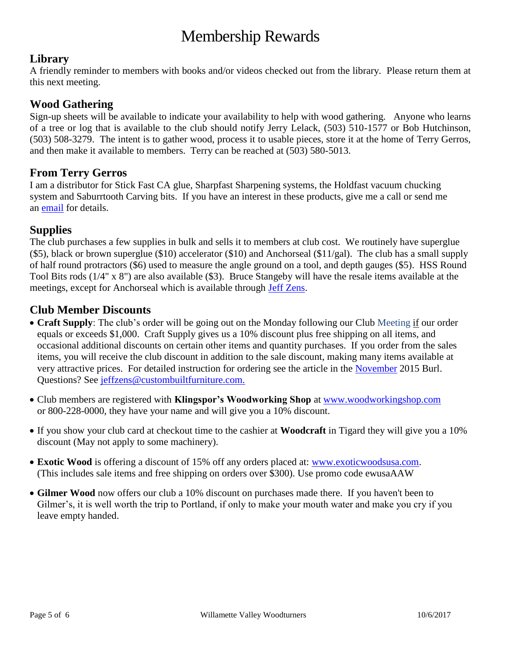# Membership Rewards

# **Library**

A friendly reminder to members with books and/or videos checked out from the library. Please return them at this next meeting.

#### **Wood Gathering**

Sign-up sheets will be available to indicate your availability to help with wood gathering. Anyone who learns of a tree or log that is available to the club should notify Jerry Lelack, (503) 510-1577 or Bob Hutchinson, (503) 508-3279. The intent is to gather wood, process it to usable pieces, store it at the home of Terry Gerros, and then make it available to members. Terry can be reached at (503) 580-5013.

#### **From Terry Gerros**

I am a distributor for Stick Fast CA glue, Sharpfast Sharpening systems, the Holdfast vacuum chucking system and Saburrtooth Carving bits. If you have an interest in these products, give me a call or send me an [email](mailto:gerrost@yahoo.com) for details.

#### **Supplies**

The club purchases a few supplies in bulk and sells it to members at club cost. We routinely have superglue (\$5), black or brown superglue (\$10) accelerator (\$10) and Anchorseal (\$11/gal). The club has a small supply of half round protractors (\$6) used to measure the angle ground on a tool, and depth gauges (\$5). HSS Round Tool Bits rods (1/4" x 8") are also available (\$3). Bruce Stangeby will have the resale items available at the meetings, except for Anchorseal which is available through [Jeff Zens.](mailto:jszens@custombuiltfurniture.com)

# **Club Member Discounts**

- **Craft Supply**: The club's order will be going out on the Monday following our Club Meeting if our order equals or exceeds \$1,000. Craft Supply gives us a 10% discount plus free shipping on all items, and occasional additional discounts on certain other items and quantity purchases. If you order from the sales items, you will receive the club discount in addition to the sale discount, making many items available at very attractive prices. For detailed instruction for ordering see the article in the [November](http://www.willamettevalleywoodturners.com/newsletters/2015_11_WVW_Newsletter.pdf) 2015 Burl. Questions? See [jeffzens@custombuiltfurniture.com.](mailto:jeffzens@custombuiltfurniture.com.)
- Club members are registered with **Klingspor's Woodworking Shop** at [www.woodworkingshop.com](http://www.woodworkingshop.com/)  or 800-228-0000, they have your name and will give you a 10% discount.
- If you show your club card at checkout time to the cashier at **Woodcraft** in Tigard they will give you a 10% discount (May not apply to some machinery).
- **Exotic Wood** is offering a discount of 15% off any orders placed at: [www.exoticwoodsusa.com.](http://www.exoticwoodsusa.com/) (This includes sale items and free shipping on orders over \$300). Use promo code ewusaAAW
- **Gilmer Wood** now offers our club a 10% discount on purchases made there. If you haven't been to Gilmer's, it is well worth the trip to Portland, if only to make your mouth water and make you cry if you leave empty handed.